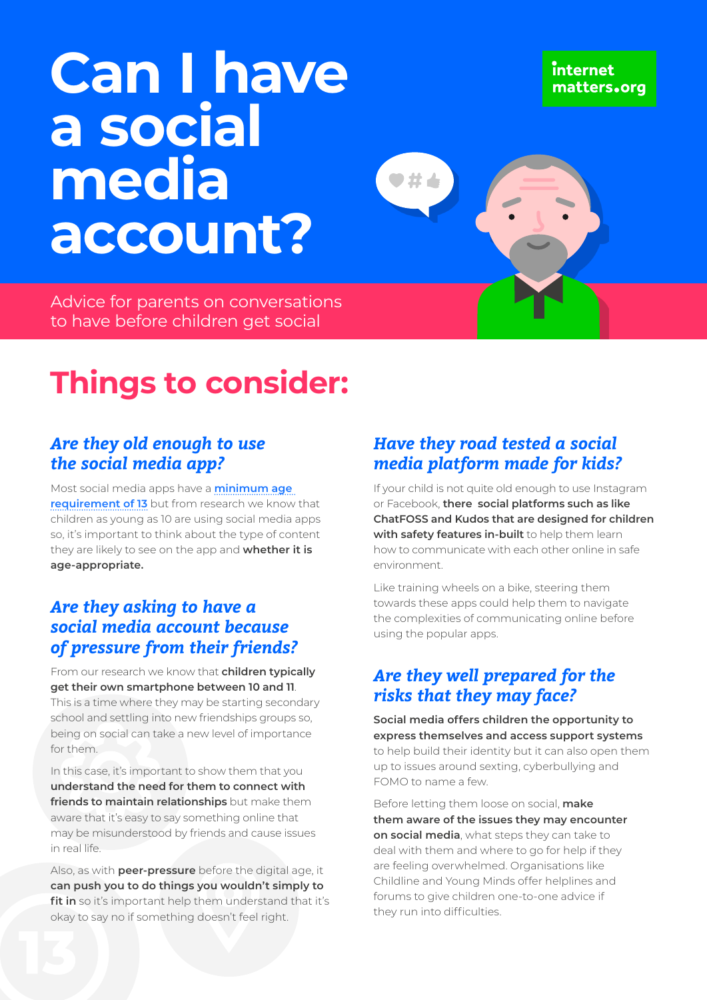# **Can I have a social media account?**

Advice for parents on conversations to have before children get social

# **Things to consider:**

### *Are they old enough to use the social media app?*

Most social media apps have a **[minimum age](https://www.internetmatters.org/hub/guidance/age-can-child-start-social-networking/)  [requirement of 13](https://www.internetmatters.org/hub/guidance/age-can-child-start-social-networking/)** but from research we know that children as young as 10 are using social media apps so, it's important to think about the type of content they are likely to see on the app and **whether it is age-appropriate.**

#### *Are they asking to have a social media account because of pressure from their friends?*

From our research we know that **children typically get their own smartphone between 10 and 11**. This is a time where they may be starting secondary school and settling into new friendships groups so, being on social can take a new level of importance for them.

In this case, it's important to show them that you **understand the need for them to connect with friends to maintain relationships** but make them aware that it's easy to say something online that may be misunderstood by friends and cause issues in real life.

Also, as with **peer-pressure** before the digital age, it **can push you to do things you wouldn't simply to**  fit in so it's important help them understand that it's okay to say no if something doesn't feel right.

## *Have they road tested a social media platform made for kids?*

If your child is not quite old enough to use Instagram or Facebook, **there social platforms such as like ChatFOSS and Kudos that are designed for children with safety features in-built** to help them learn how to communicate with each other online in safe environment.

Like training wheels on a bike, steering them towards these apps could help them to navigate the complexities of communicating online before using the popular apps.

### *Are they well prepared for the risks that they may face?*

**Social media offers children the opportunity to express themselves and access support systems** to help build their identity but it can also open them up to issues around sexting, cyberbullying and FOMO to name a few.

Before letting them loose on social, **make them aware of the issues they may encounter on social media**, what steps they can take to deal with them and where to go for help if they are feeling overwhelmed. Organisations like Childline and Young Minds offer helplines and forums to give children one-to-one advice if they run into difficulties.

internet matters.org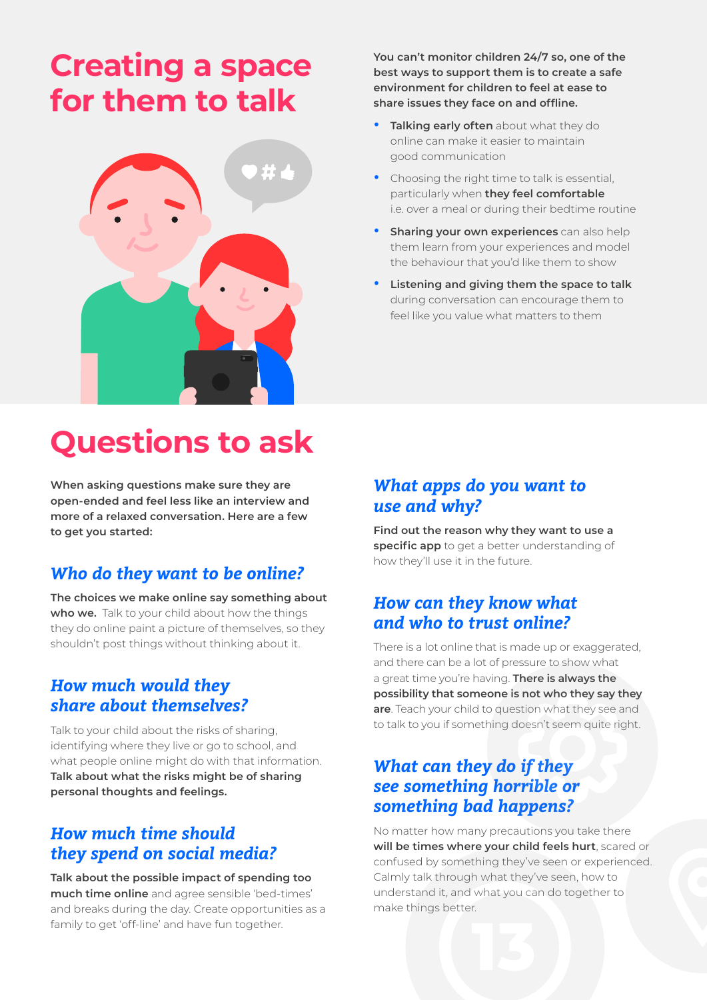# **Creating a space for them to talk**



# **Questions to ask**

**When asking questions make sure they are open-ended and feel less like an interview and more of a relaxed conversation. Here are a few to get you started:** 

### *Who do they want to be online?*

**The choices we make online say something about**  who we. Talk to your child about how the things they do online paint a picture of themselves, so they shouldn't post things without thinking about it.

#### *How much would they share about themselves?*

Talk to your child about the risks of sharing, identifying where they live or go to school, and what people online might do with that information. **Talk about what the risks might be of sharing personal thoughts and feelings.**

#### *How much time should they spend on social media?*

**Talk about the possible impact of spending too much time online** and agree sensible 'bed-times' and breaks during the day. Create opportunities as a family to get 'off-line' and have fun together.

**You can't monitor children 24/7 so, one of the best ways to support them is to create a safe environment for children to feel at ease to share issues they face on and offline.** 

- **• Talking early often** about what they do online can make it easier to maintain good communication
- **•** Choosing the right time to talk is essential, particularly when **they feel comfortable** i.e. over a meal or during their bedtime routine
- **• Sharing your own experiences** can also help them learn from your experiences and model the behaviour that you'd like them to show
- **• Listening and giving them the space to talk**  during conversation can encourage them to feel like you value what matters to them

#### *What apps do you want to use and why?*

**Find out the reason why they want to use a specific app** to get a better understanding of how they'll use it in the future.

#### *How can they know what and who to trust online?*

There is a lot online that is made up or exaggerated. and there can be a lot of pressure to show what a great time you're having. **There is always the possibility that someone is not who they say they are**. Teach your child to question what they see and to talk to you if something doesn't seem quite right.

### *What can they do if they see something horrible or something bad happens?*

No matter how many precautions you take there **will be times where your child feels hurt**, scared or confused by something they've seen or experienced. Calmly talk through what they've seen, how to understand it, and what you can do together to make things better.